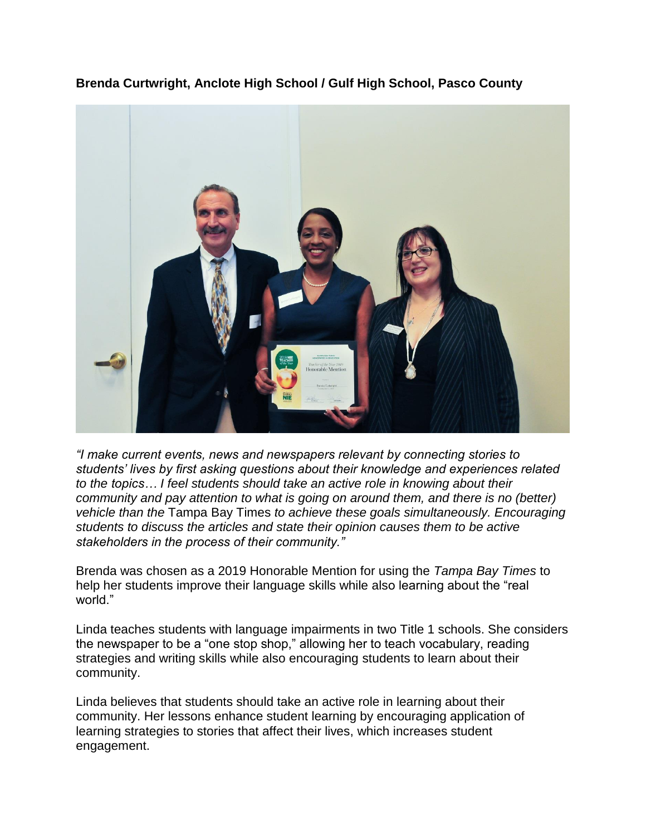**Brenda Curtwright, Anclote High School / Gulf High School, Pasco County**



*"I make current events, news and newspapers relevant by connecting stories to students' lives by first asking questions about their knowledge and experiences related to the topics… I feel students should take an active role in knowing about their community and pay attention to what is going on around them, and there is no (better) vehicle than the* Tampa Bay Times *to achieve these goals simultaneously. Encouraging students to discuss the articles and state their opinion causes them to be active stakeholders in the process of their community."*

Brenda was chosen as a 2019 Honorable Mention for using the *Tampa Bay Times* to help her students improve their language skills while also learning about the "real world."

Linda teaches students with language impairments in two Title 1 schools. She considers the newspaper to be a "one stop shop," allowing her to teach vocabulary, reading strategies and writing skills while also encouraging students to learn about their community.

Linda believes that students should take an active role in learning about their community. Her lessons enhance student learning by encouraging application of learning strategies to stories that affect their lives, which increases student engagement.